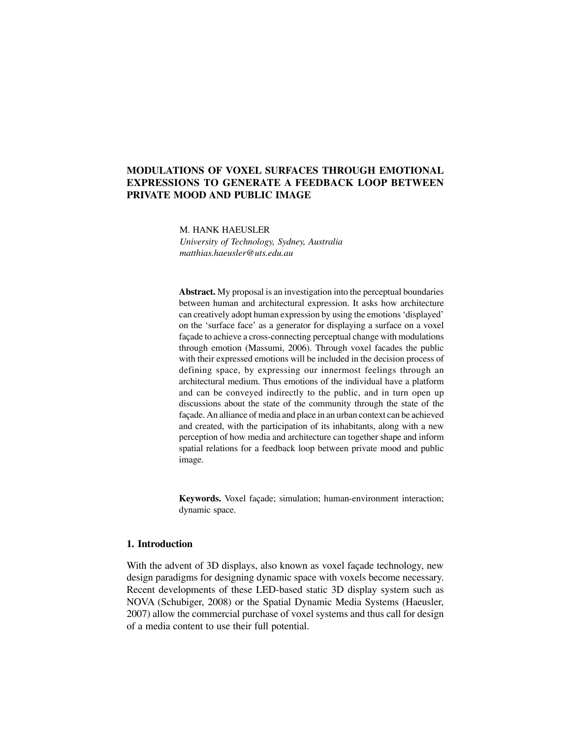# **MODULATIONS OF VOXEL SURFACES THROUGH EMOTIONAL EXPRESSIONS TO GENERATE A FEEDBACK LOOP BETWEEN PRIVATE MOOD AND PUBLIC IMAGE**

M. HANK HAEUSLER

*University of Technology, Sydney, Australia matthias.haeusler@uts.edu.au*

**Abstract.** My proposal is an investigation into the perceptual boundaries between human and architectural expression. It asks how architecture can creatively adopt human expression by using the emotions 'displayed' on the 'surface face' as a generator for displaying a surface on a voxel façade to achieve a cross-connecting perceptual change with modulations through emotion (Massumi, 2006). Through voxel facades the public with their expressed emotions will be included in the decision process of defining space, by expressing our innermost feelings through an architectural medium. Thus emotions of the individual have a platform and can be conveyed indirectly to the public, and in turn open up discussions about the state of the community through the state of the façade. An alliance of media and place in an urban context can be achieved and created, with the participation of its inhabitants, along with a new perception of how media and architecture can together shape and inform spatial relations for a feedback loop between private mood and public image.

**Keywords.** Voxel façade; simulation; human-environment interaction; dynamic space.

#### **1. Introduction**

With the advent of 3D displays, also known as voxel façade technology, new design paradigms for designing dynamic space with voxels become necessary. Recent developments of these LED-based static 3D display system such as NOVA (Schubiger, 2008) or the Spatial Dynamic Media Systems (Haeusler, 2007) allow the commercial purchase of voxel systems and thus call for design of a media content to use their full potential.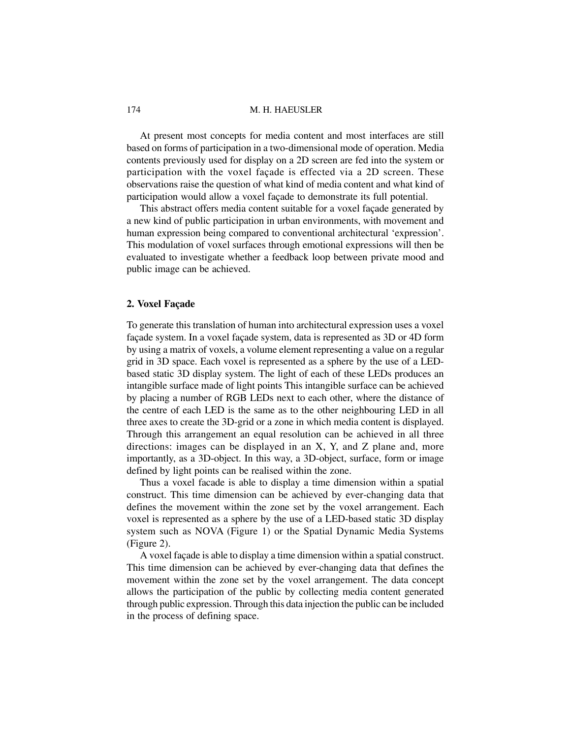At present most concepts for media content and most interfaces are still based on forms of participation in a two-dimensional mode of operation. Media contents previously used for display on a 2D screen are fed into the system or participation with the voxel façade is effected via a 2D screen. These observations raise the question of what kind of media content and what kind of participation would allow a voxel façade to demonstrate its full potential.

This abstract offers media content suitable for a voxel façade generated by a new kind of public participation in urban environments, with movement and human expression being compared to conventional architectural 'expression'. This modulation of voxel surfaces through emotional expressions will then be evaluated to investigate whether a feedback loop between private mood and public image can be achieved.

## **2. Voxel Façade**

To generate this translation of human into architectural expression uses a voxel façade system. In a voxel façade system, data is represented as 3D or 4D form by using a matrix of voxels, a volume element representing a value on a regular grid in 3D space. Each voxel is represented as a sphere by the use of a LEDbased static 3D display system. The light of each of these LEDs produces an intangible surface made of light points This intangible surface can be achieved by placing a number of RGB LEDs next to each other, where the distance of the centre of each LED is the same as to the other neighbouring LED in all three axes to create the 3D-grid or a zone in which media content is displayed. Through this arrangement an equal resolution can be achieved in all three directions: images can be displayed in an X, Y, and Z plane and, more importantly, as a 3D-object. In this way, a 3D-object, surface, form or image defined by light points can be realised within the zone.

Thus a voxel facade is able to display a time dimension within a spatial construct. This time dimension can be achieved by ever-changing data that defines the movement within the zone set by the voxel arrangement. Each voxel is represented as a sphere by the use of a LED-based static 3D display system such as NOVA (Figure 1) or the Spatial Dynamic Media Systems (Figure 2).

A voxel façade is able to display a time dimension within a spatial construct. This time dimension can be achieved by ever-changing data that defines the movement within the zone set by the voxel arrangement. The data concept allows the participation of the public by collecting media content generated through public expression. Through this data injection the public can be included in the process of defining space.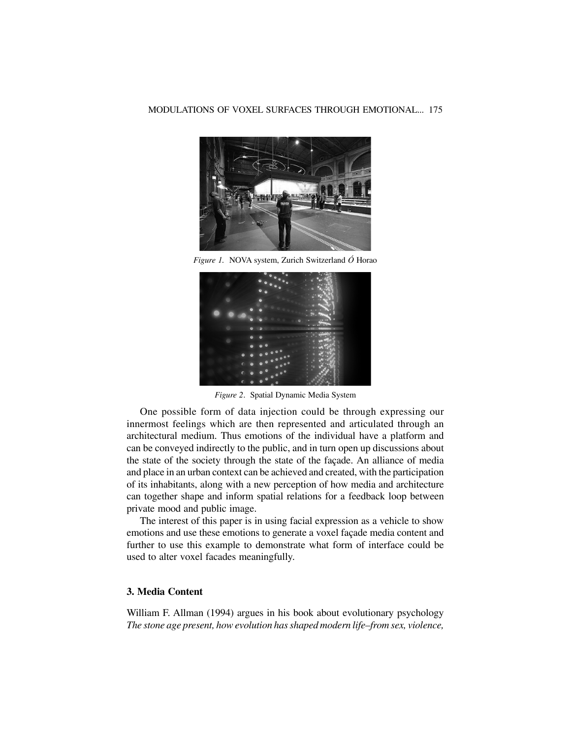

*Figure 1.* NOVA system, Zurich Switzerland *Ó* Horao



*Figure 2*. Spatial Dynamic Media System

One possible form of data injection could be through expressing our innermost feelings which are then represented and articulated through an architectural medium. Thus emotions of the individual have a platform and can be conveyed indirectly to the public, and in turn open up discussions about the state of the society through the state of the façade. An alliance of media and place in an urban context can be achieved and created, with the participation of its inhabitants, along with a new perception of how media and architecture can together shape and inform spatial relations for a feedback loop between private mood and public image.

The interest of this paper is in using facial expression as a vehicle to show emotions and use these emotions to generate a voxel façade media content and further to use this example to demonstrate what form of interface could be used to alter voxel facades meaningfully.

## **3. Media Content**

William F. Allman (1994) argues in his book about evolutionary psychology *The stone age present, how evolution has shaped modern life–from sex, violence,*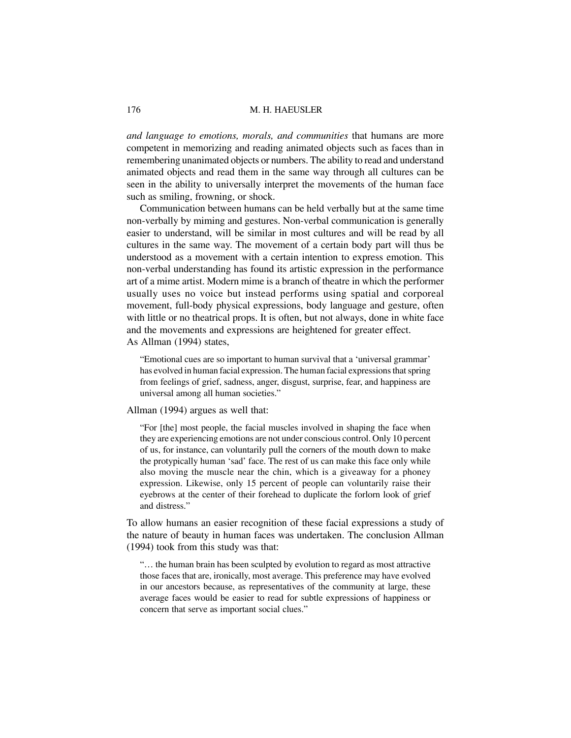*and language to emotions, morals, and communities* that humans are more competent in memorizing and reading animated objects such as faces than in remembering unanimated objects or numbers. The ability to read and understand animated objects and read them in the same way through all cultures can be seen in the ability to universally interpret the movements of the human face such as smiling, frowning, or shock.

Communication between humans can be held verbally but at the same time non-verbally by miming and gestures. Non-verbal communication is generally easier to understand, will be similar in most cultures and will be read by all cultures in the same way. The movement of a certain body part will thus be understood as a movement with a certain intention to express emotion. This non-verbal understanding has found its artistic expression in the performance art of a mime artist. Modern mime is a branch of theatre in which the performer usually uses no voice but instead performs using spatial and corporeal movement, full-body physical expressions, body language and gesture, often with little or no theatrical props. It is often, but not always, done in white face and the movements and expressions are heightened for greater effect. As Allman (1994) states,

"Emotional cues are so important to human survival that a 'universal grammar' has evolved in human facial expression. The human facial expressions that spring from feelings of grief, sadness, anger, disgust, surprise, fear, and happiness are universal among all human societies."

Allman (1994) argues as well that:

"For [the] most people, the facial muscles involved in shaping the face when they are experiencing emotions are not under conscious control. Only 10 percent of us, for instance, can voluntarily pull the corners of the mouth down to make the protypically human 'sad' face. The rest of us can make this face only while also moving the muscle near the chin, which is a giveaway for a phoney expression. Likewise, only 15 percent of people can voluntarily raise their eyebrows at the center of their forehead to duplicate the forlorn look of grief and distress."

To allow humans an easier recognition of these facial expressions a study of the nature of beauty in human faces was undertaken. The conclusion Allman (1994) took from this study was that:

"… the human brain has been sculpted by evolution to regard as most attractive those faces that are, ironically, most average. This preference may have evolved in our ancestors because, as representatives of the community at large, these average faces would be easier to read for subtle expressions of happiness or concern that serve as important social clues."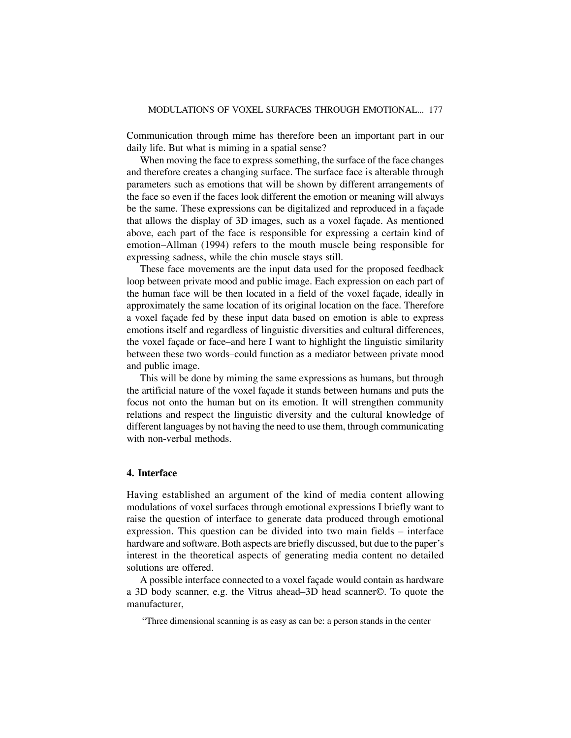Communication through mime has therefore been an important part in our daily life. But what is miming in a spatial sense?

When moving the face to express something, the surface of the face changes and therefore creates a changing surface. The surface face is alterable through parameters such as emotions that will be shown by different arrangements of the face so even if the faces look different the emotion or meaning will always be the same. These expressions can be digitalized and reproduced in a façade that allows the display of 3D images, such as a voxel façade. As mentioned above, each part of the face is responsible for expressing a certain kind of emotion–Allman (1994) refers to the mouth muscle being responsible for expressing sadness, while the chin muscle stays still.

These face movements are the input data used for the proposed feedback loop between private mood and public image. Each expression on each part of the human face will be then located in a field of the voxel façade, ideally in approximately the same location of its original location on the face. Therefore a voxel façade fed by these input data based on emotion is able to express emotions itself and regardless of linguistic diversities and cultural differences, the voxel façade or face–and here I want to highlight the linguistic similarity between these two words–could function as a mediator between private mood and public image.

This will be done by miming the same expressions as humans, but through the artificial nature of the voxel façade it stands between humans and puts the focus not onto the human but on its emotion. It will strengthen community relations and respect the linguistic diversity and the cultural knowledge of different languages by not having the need to use them, through communicating with non-verbal methods.

## **4. Interface**

Having established an argument of the kind of media content allowing modulations of voxel surfaces through emotional expressions I briefly want to raise the question of interface to generate data produced through emotional expression. This question can be divided into two main fields – interface hardware and software. Both aspects are briefly discussed, but due to the paper's interest in the theoretical aspects of generating media content no detailed solutions are offered.

A possible interface connected to a voxel façade would contain as hardware a 3D body scanner, e.g. the Vitrus ahead–3D head scanner©. To quote the manufacturer,

"Three dimensional scanning is as easy as can be: a person stands in the center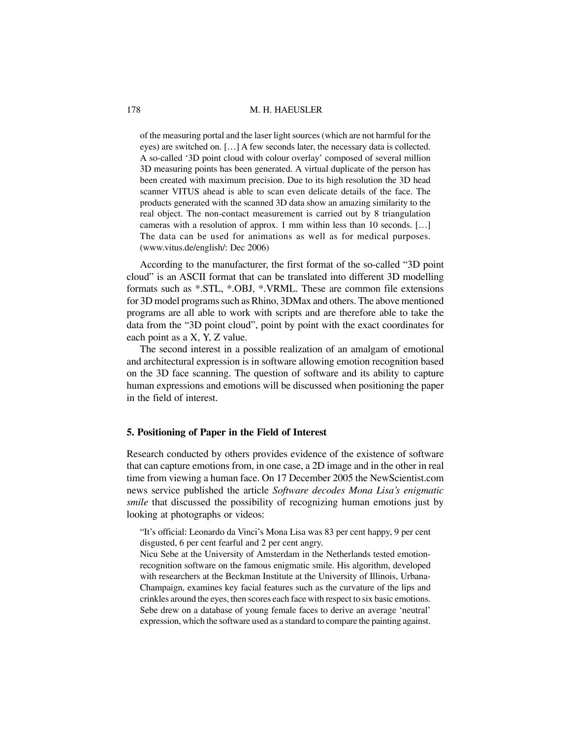of the measuring portal and the laser light sources (which are not harmful for the eyes) are switched on. […] A few seconds later, the necessary data is collected. A so-called '3D point cloud with colour overlay' composed of several million 3D measuring points has been generated. A virtual duplicate of the person has been created with maximum precision. Due to its high resolution the 3D head scanner VITUS ahead is able to scan even delicate details of the face. The products generated with the scanned 3D data show an amazing similarity to the real object. The non-contact measurement is carried out by 8 triangulation cameras with a resolution of approx. 1 mm within less than 10 seconds. […] The data can be used for animations as well as for medical purposes. (www.vitus.de/english/: Dec 2006)

According to the manufacturer, the first format of the so-called "3D point cloud" is an ASCII format that can be translated into different 3D modelling formats such as \*.STL, \*.OBJ, \*.VRML. These are common file extensions for 3D model programs such as Rhino, 3DMax and others. The above mentioned programs are all able to work with scripts and are therefore able to take the data from the "3D point cloud", point by point with the exact coordinates for each point as a X, Y, Z value.

The second interest in a possible realization of an amalgam of emotional and architectural expression is in software allowing emotion recognition based on the 3D face scanning. The question of software and its ability to capture human expressions and emotions will be discussed when positioning the paper in the field of interest.

#### **5. Positioning of Paper in the Field of Interest**

Research conducted by others provides evidence of the existence of software that can capture emotions from, in one case, a 2D image and in the other in real time from viewing a human face. On 17 December 2005 the NewScientist.com news service published the article *Software decodes Mona Lisa's enigmatic smile* that discussed the possibility of recognizing human emotions just by looking at photographs or videos:

"It's official: Leonardo da Vinci's Mona Lisa was 83 per cent happy, 9 per cent disgusted, 6 per cent fearful and 2 per cent angry.

Nicu Sebe at the University of Amsterdam in the Netherlands tested emotionrecognition software on the famous enigmatic smile. His algorithm, developed with researchers at the Beckman Institute at the University of Illinois, Urbana-Champaign, examines key facial features such as the curvature of the lips and crinkles around the eyes, then scores each face with respect to six basic emotions. Sebe drew on a database of young female faces to derive an average 'neutral' expression, which the software used as a standard to compare the painting against.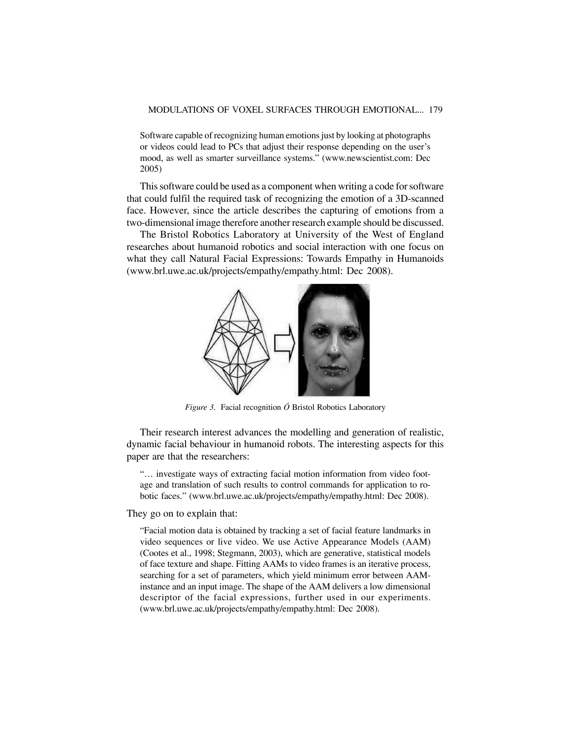Software capable of recognizing human emotions just by looking at photographs or videos could lead to PCs that adjust their response depending on the user's mood, as well as smarter surveillance systems." (www.newscientist.com: Dec 2005)

This software could be used as a component when writing a code for software that could fulfil the required task of recognizing the emotion of a 3D-scanned face. However, since the article describes the capturing of emotions from a two-dimensional image therefore another research example should be discussed.

The Bristol Robotics Laboratory at University of the West of England researches about humanoid robotics and social interaction with one focus on what they call Natural Facial Expressions: Towards Empathy in Humanoids (www.brl.uwe.ac.uk/projects/empathy/empathy.html: Dec 2008).



*Figure 3.* Facial recognition *Ó* Bristol Robotics Laboratory

Their research interest advances the modelling and generation of realistic, dynamic facial behaviour in humanoid robots. The interesting aspects for this paper are that the researchers:

"… investigate ways of extracting facial motion information from video footage and translation of such results to control commands for application to robotic faces." (www.brl.uwe.ac.uk/projects/empathy/empathy.html: Dec 2008).

They go on to explain that:

"Facial motion data is obtained by tracking a set of facial feature landmarks in video sequences or live video. We use Active Appearance Models (AAM) (Cootes et al., 1998; Stegmann, 2003), which are generative, statistical models of face texture and shape. Fitting AAMs to video frames is an iterative process, searching for a set of parameters, which yield minimum error between AAMinstance and an input image. The shape of the AAM delivers a low dimensional descriptor of the facial expressions, further used in our experiments. (www.brl.uwe.ac.uk/projects/empathy/empathy.html: Dec 2008).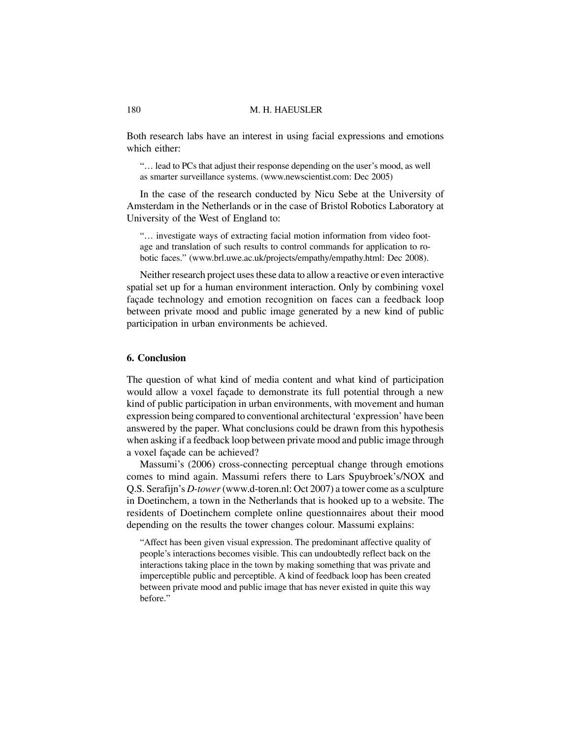Both research labs have an interest in using facial expressions and emotions which either:

"… lead to PCs that adjust their response depending on the user's mood, as well as smarter surveillance systems. (www.newscientist.com: Dec 2005)

In the case of the research conducted by Nicu Sebe at the University of Amsterdam in the Netherlands or in the case of Bristol Robotics Laboratory at University of the West of England to:

"… investigate ways of extracting facial motion information from video footage and translation of such results to control commands for application to robotic faces." (www.brl.uwe.ac.uk/projects/empathy/empathy.html: Dec 2008).

Neither research project uses these data to allow a reactive or even interactive spatial set up for a human environment interaction. Only by combining voxel façade technology and emotion recognition on faces can a feedback loop between private mood and public image generated by a new kind of public participation in urban environments be achieved.

## **6. Conclusion**

The question of what kind of media content and what kind of participation would allow a voxel façade to demonstrate its full potential through a new kind of public participation in urban environments, with movement and human expression being compared to conventional architectural 'expression' have been answered by the paper. What conclusions could be drawn from this hypothesis when asking if a feedback loop between private mood and public image through a voxel façade can be achieved?

Massumi's (2006) cross-connecting perceptual change through emotions comes to mind again. Massumi refers there to Lars Spuybroek's/NOX and Q.S. Serafijn's *D-tower* (www.d-toren.nl: Oct 2007) a tower come as a sculpture in Doetinchem, a town in the Netherlands that is hooked up to a website. The residents of Doetinchem complete online questionnaires about their mood depending on the results the tower changes colour. Massumi explains:

"Affect has been given visual expression. The predominant affective quality of people's interactions becomes visible. This can undoubtedly reflect back on the interactions taking place in the town by making something that was private and imperceptible public and perceptible. A kind of feedback loop has been created between private mood and public image that has never existed in quite this way before."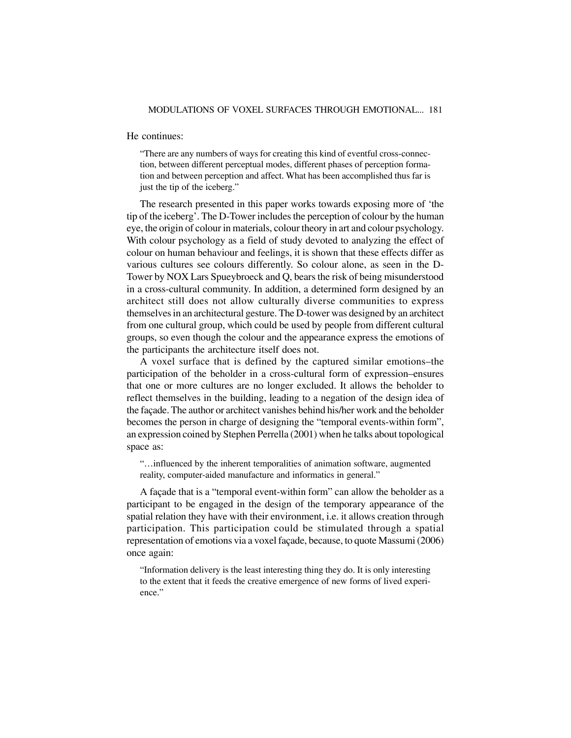## He continues:

"There are any numbers of ways for creating this kind of eventful cross-connection, between different perceptual modes, different phases of perception formation and between perception and affect. What has been accomplished thus far is just the tip of the iceberg."

The research presented in this paper works towards exposing more of 'the tip of the iceberg'. The D-Tower includes the perception of colour by the human eye, the origin of colour in materials, colour theory in art and colour psychology. With colour psychology as a field of study devoted to analyzing the effect of colour on human behaviour and feelings, it is shown that these effects differ as various cultures see colours differently. So colour alone, as seen in the D-Tower by NOX Lars Spueybroeck and Q, bears the risk of being misunderstood in a cross-cultural community. In addition, a determined form designed by an architect still does not allow culturally diverse communities to express themselves in an architectural gesture. The D-tower was designed by an architect from one cultural group, which could be used by people from different cultural groups, so even though the colour and the appearance express the emotions of the participants the architecture itself does not.

A voxel surface that is defined by the captured similar emotions–the participation of the beholder in a cross-cultural form of expression–ensures that one or more cultures are no longer excluded. It allows the beholder to reflect themselves in the building, leading to a negation of the design idea of the façade. The author or architect vanishes behind his/her work and the beholder becomes the person in charge of designing the "temporal events-within form", an expression coined by Stephen Perrella (2001) when he talks about topological space as:

"…influenced by the inherent temporalities of animation software, augmented reality, computer-aided manufacture and informatics in general."

A façade that is a "temporal event-within form" can allow the beholder as a participant to be engaged in the design of the temporary appearance of the spatial relation they have with their environment, i.e. it allows creation through participation. This participation could be stimulated through a spatial representation of emotions via a voxel façade, because, to quote Massumi (2006) once again:

"Information delivery is the least interesting thing they do. It is only interesting to the extent that it feeds the creative emergence of new forms of lived experience."